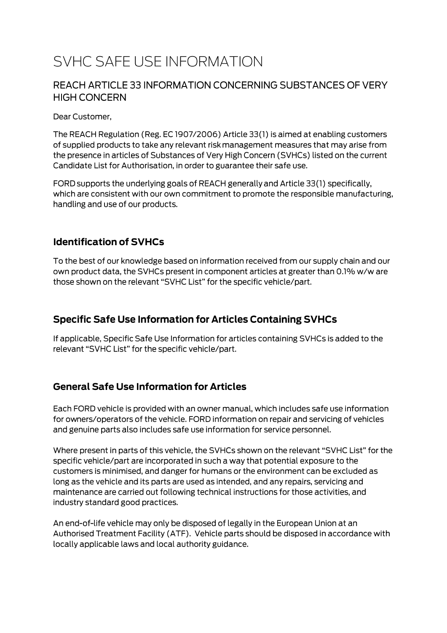# SVHC SAFE USE INFORMATION

#### REACH ARTICLE 33 INFORMATION CONCERNING SUBSTANCES OF VERY **HIGH CONCERN**

Dear Customer,

The REACH Regulation (Reg. EC 1907/2006) Article 33(1) is aimed at enabling customers of supplied products to take any relevant risk management measures that may arise from the presence in articles of Substances of Very High Concern (SVHCs) listed on the current Candidate List for Authorisation, in order to guarantee their safe use.

FORD supports the underlying goals of REACH generally and Article 33(1) specifically, which are consistent with our own commitment to promote the responsible manufacturing, handling and use of our products.

#### **Identification of SVHCs**

To the best of our knowledge based on information received from our supply chain and our own product data, the SVHCs present in component articles at greater than 0.1% w/w are those shown on the relevant "SVHC List" for the specific vehicle/part.

### **Specific Safe Use Information for Articles Containing SVHCs**

If applicable, Specific Safe Use Information for articles containing SVHCs is added to the relevant "SVHC List" for the specific vehicle/part.

#### **General Safe Use Information for Articles**

Each FORD vehicle is provided with an owner manual, which includes safe use information for owners/operators of the vehicle. FORD information on repair and servicing of vehicles and genuine parts also includes safe use information for service personnel.

Where present in parts of this vehicle, the SVHCs shown on the relevant "SVHC List" for the specific vehicle/part are incorporated in such a way that potential exposure to the customers is minimised, and danger for humans or the environment can be excluded as long as the vehicle and its parts are used as intended, and any repairs, servicing and maintenance are carried out following technical instructions for those activities, and industry standard good practices.

An end-of-life vehicle may only be disposed of legally in the European Union at an Authorised Treatment Facility (ATF). Vehicle parts should be disposed in accordance with locally applicable laws and local authority guidance.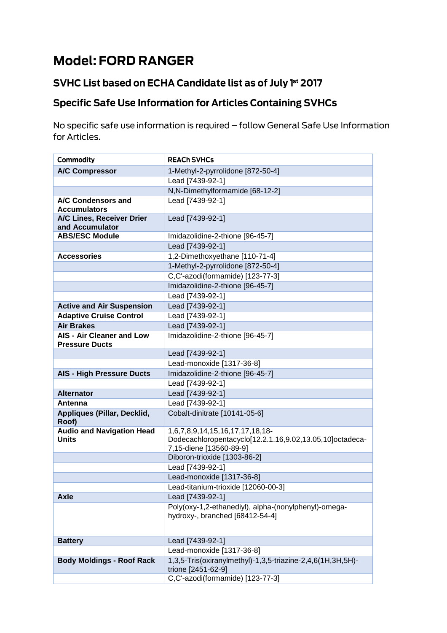# **Model: FORD RANGER**

## SVHC List based on ECHA Candidate list as of July 1st 2017

# **Specific Safe Use Information for Articles Containing SVHCs**

No specific safe use information is required - follow General Safe Use Information for Articles.

| Commodity                                                 | <b>REACH SVHCs</b>                                                                                                     |
|-----------------------------------------------------------|------------------------------------------------------------------------------------------------------------------------|
| <b>A/C Compressor</b>                                     | 1-Methyl-2-pyrrolidone [872-50-4]                                                                                      |
|                                                           | Lead [7439-92-1]                                                                                                       |
|                                                           | N,N-Dimethylformamide [68-12-2]                                                                                        |
| A/C Condensors and<br><b>Accumulators</b>                 | Lead [7439-92-1]                                                                                                       |
| A/C Lines, Receiver Drier                                 | Lead [7439-92-1]                                                                                                       |
| and Accumulator                                           |                                                                                                                        |
| <b>ABS/ESC Module</b>                                     | Imidazolidine-2-thione [96-45-7]                                                                                       |
|                                                           | Lead [7439-92-1]                                                                                                       |
| <b>Accessories</b>                                        | 1,2-Dimethoxyethane [110-71-4]                                                                                         |
|                                                           | 1-Methyl-2-pyrrolidone [872-50-4]                                                                                      |
|                                                           | C,C'-azodi(formamide) [123-77-3]                                                                                       |
|                                                           | Imidazolidine-2-thione [96-45-7]                                                                                       |
|                                                           | Lead [7439-92-1]                                                                                                       |
| <b>Active and Air Suspension</b>                          | Lead [7439-92-1]                                                                                                       |
| <b>Adaptive Cruise Control</b>                            | Lead [7439-92-1]                                                                                                       |
| <b>Air Brakes</b>                                         | Lead [7439-92-1]                                                                                                       |
| <b>AIS - Air Cleaner and Low</b><br><b>Pressure Ducts</b> | Imidazolidine-2-thione [96-45-7]                                                                                       |
|                                                           | Lead [7439-92-1]                                                                                                       |
|                                                           | Lead-monoxide [1317-36-8]                                                                                              |
| <b>AIS - High Pressure Ducts</b>                          | Imidazolidine-2-thione [96-45-7]                                                                                       |
|                                                           | Lead [7439-92-1]                                                                                                       |
| <b>Alternator</b>                                         | Lead [7439-92-1]                                                                                                       |
| Antenna                                                   | Lead [7439-92-1]                                                                                                       |
| Appliques (Pillar, Decklid,<br>Roof)                      | Cobalt-dinitrate [10141-05-6]                                                                                          |
| <b>Audio and Navigation Head</b><br><b>Units</b>          | 1,6,7,8,9,14,15,16,17,17,18,18-<br>Dodecachloropentacyclo[12.2.1.16,9.02,13.05,10]octadeca-<br>7,15-diene [13560-89-9] |
|                                                           | Diboron-trioxide [1303-86-2]                                                                                           |
|                                                           | Lead [7439-92-1]                                                                                                       |
|                                                           | Lead-monoxide [1317-36-8]                                                                                              |
|                                                           | Lead-titanium-trioxide [12060-00-3]                                                                                    |
| <b>Axle</b>                                               | Lead [7439-92-1]                                                                                                       |
|                                                           | Poly(oxy-1,2-ethanediyl), alpha-(nonylphenyl)-omega-<br>hydroxy-, branched [68412-54-4]                                |
| <b>Battery</b>                                            | Lead [7439-92-1]                                                                                                       |
|                                                           | Lead-monoxide [1317-36-8]                                                                                              |
| <b>Body Moldings - Roof Rack</b>                          | 1,3,5-Tris(oxiranylmethyl)-1,3,5-triazine-2,4,6(1H,3H,5H)-<br>trione [2451-62-9]                                       |
|                                                           | C,C'-azodi(formamide) [123-77-3]                                                                                       |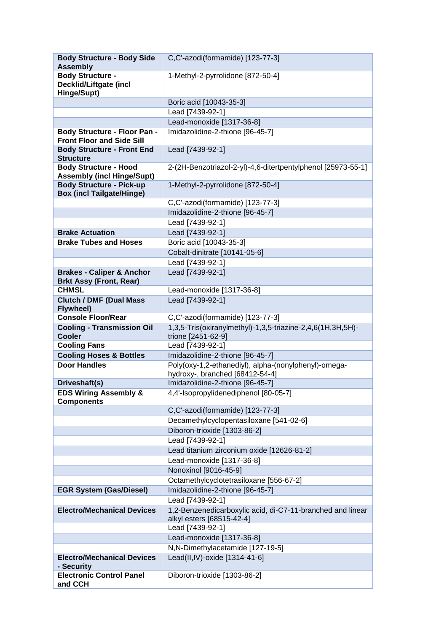| <b>Body Structure - Body Side</b><br><b>Assembly</b>                    | C,C'-azodi(formamide) [123-77-3]                                                 |
|-------------------------------------------------------------------------|----------------------------------------------------------------------------------|
| <b>Body Structure -</b><br><b>Decklid/Liftgate (incl</b><br>Hinge/Supt) | 1-Methyl-2-pyrrolidone [872-50-4]                                                |
|                                                                         | Boric acid [10043-35-3]                                                          |
|                                                                         | Lead [7439-92-1]                                                                 |
|                                                                         | Lead-monoxide [1317-36-8]                                                        |
| <b>Body Structure - Floor Pan -</b><br><b>Front Floor and Side Sill</b> | Imidazolidine-2-thione [96-45-7]                                                 |
| <b>Body Structure - Front End</b><br><b>Structure</b>                   | Lead [7439-92-1]                                                                 |
| <b>Body Structure - Hood</b><br><b>Assembly (incl Hinge/Supt)</b>       | 2-(2H-Benzotriazol-2-yl)-4,6-ditertpentylphenol [25973-55-1]                     |
| <b>Body Structure - Pick-up</b><br><b>Box (incl Tailgate/Hinge)</b>     | 1-Methyl-2-pyrrolidone [872-50-4]                                                |
|                                                                         | C,C'-azodi(formamide) [123-77-3]                                                 |
|                                                                         | Imidazolidine-2-thione [96-45-7]                                                 |
|                                                                         | Lead [7439-92-1]                                                                 |
| <b>Brake Actuation</b>                                                  | Lead [7439-92-1]                                                                 |
| <b>Brake Tubes and Hoses</b>                                            | Boric acid [10043-35-3]                                                          |
|                                                                         | Cobalt-dinitrate [10141-05-6]                                                    |
|                                                                         | Lead [7439-92-1]                                                                 |
| <b>Brakes - Caliper &amp; Anchor</b><br><b>Brkt Assy (Front, Rear)</b>  | Lead [7439-92-1]                                                                 |
| <b>CHMSL</b>                                                            | Lead-monoxide [1317-36-8]                                                        |
| <b>Clutch / DMF (Dual Mass</b><br><b>Flywheel)</b>                      | Lead [7439-92-1]                                                                 |
| <b>Console Floor/Rear</b>                                               | C,C'-azodi(formamide) [123-77-3]                                                 |
| <b>Cooling - Transmission Oil</b><br><b>Cooler</b>                      | 1,3,5-Tris(oxiranylmethyl)-1,3,5-triazine-2,4,6(1H,3H,5H)-<br>trione [2451-62-9] |
| <b>Cooling Fans</b>                                                     | Lead [7439-92-1]                                                                 |
| <b>Cooling Hoses &amp; Bottles</b>                                      | Imidazolidine-2-thione [96-45-7]                                                 |
| <b>Door Handles</b>                                                     | Poly(oxy-1,2-ethanediyl), alpha-(nonylphenyl)-omega-                             |
|                                                                         | hydroxy-, branched [68412-54-4]                                                  |
| Driveshaft(s)                                                           | Imidazolidine-2-thione [96-45-7]                                                 |
| <b>EDS Wiring Assembly &amp;</b><br><b>Components</b>                   | 4,4'-Isopropylidenediphenol [80-05-7]                                            |
|                                                                         | C,C'-azodi(formamide) [123-77-3]                                                 |
|                                                                         | Decamethylcyclopentasiloxane [541-02-6]                                          |
|                                                                         | Diboron-trioxide [1303-86-2]                                                     |
|                                                                         | Lead [7439-92-1]                                                                 |
|                                                                         | Lead titanium zirconium oxide [12626-81-2]                                       |
|                                                                         | Lead-monoxide [1317-36-8]                                                        |
|                                                                         | Nonoxinol [9016-45-9]<br>Octamethylcyclotetrasiloxane [556-67-2]                 |
| <b>EGR System (Gas/Diesel)</b>                                          | Imidazolidine-2-thione [96-45-7]                                                 |
|                                                                         | Lead [7439-92-1]                                                                 |
| <b>Electro/Mechanical Devices</b>                                       | 1,2-Benzenedicarboxylic acid, di-C7-11-branched and linear                       |
|                                                                         | alkyl esters [68515-42-4]                                                        |
|                                                                         | Lead [7439-92-1]                                                                 |
|                                                                         | Lead-monoxide [1317-36-8]<br>N,N-Dimethylacetamide [127-19-5]                    |
| <b>Electro/Mechanical Devices</b>                                       | Lead(II,IV)-oxide [1314-41-6]                                                    |
| - Security                                                              |                                                                                  |
| <b>Electronic Control Panel</b><br>and CCH                              | Diboron-trioxide [1303-86-2]                                                     |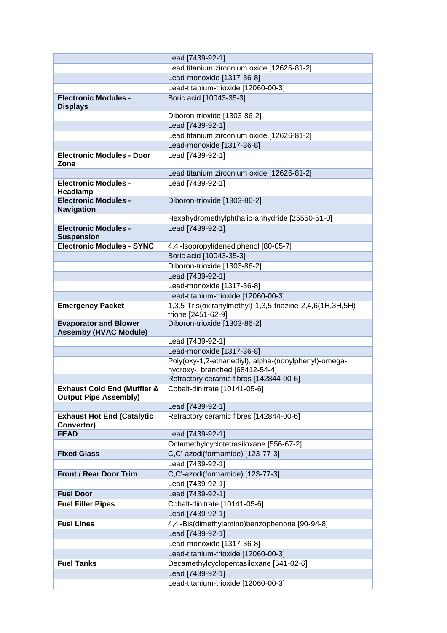|                                                                        | Lead [7439-92-1]                                                                        |
|------------------------------------------------------------------------|-----------------------------------------------------------------------------------------|
|                                                                        | Lead titanium zirconium oxide [12626-81-2]                                              |
|                                                                        | Lead-monoxide [1317-36-8]                                                               |
|                                                                        | Lead-titanium-trioxide [12060-00-3]                                                     |
| <b>Electronic Modules -</b><br><b>Displays</b>                         | Boric acid [10043-35-3]                                                                 |
|                                                                        | Diboron-trioxide [1303-86-2]                                                            |
|                                                                        | Lead [7439-92-1]                                                                        |
|                                                                        | Lead titanium zirconium oxide [12626-81-2]                                              |
|                                                                        | Lead-monoxide [1317-36-8]                                                               |
| <b>Electronic Modules - Door</b><br>Zone                               | Lead [7439-92-1]                                                                        |
|                                                                        | Lead titanium zirconium oxide [12626-81-2]                                              |
| <b>Electronic Modules -</b><br>Headlamp                                | Lead [7439-92-1]                                                                        |
| <b>Electronic Modules -</b><br><b>Navigation</b>                       | Diboron-trioxide [1303-86-2]                                                            |
|                                                                        | Hexahydromethylphthalic-anhydride [25550-51-0]                                          |
| <b>Electronic Modules -</b><br><b>Suspension</b>                       | Lead [7439-92-1]                                                                        |
| <b>Electronic Modules - SYNC</b>                                       | 4,4'-Isopropylidenediphenol [80-05-7]                                                   |
|                                                                        | Boric acid [10043-35-3]                                                                 |
|                                                                        | Diboron-trioxide [1303-86-2]                                                            |
|                                                                        | Lead [7439-92-1]                                                                        |
|                                                                        | Lead-monoxide [1317-36-8]                                                               |
|                                                                        | Lead-titanium-trioxide [12060-00-3]                                                     |
| <b>Emergency Packet</b>                                                | 1,3,5-Tris(oxiranylmethyl)-1,3,5-triazine-2,4,6(1H,3H,5H)-                              |
|                                                                        | trione [2451-62-9]                                                                      |
| <b>Evaporator and Blower</b><br><b>Assemby (HVAC Module)</b>           | Diboron-trioxide [1303-86-2]                                                            |
|                                                                        | Lead [7439-92-1]                                                                        |
|                                                                        | Lead-monoxide [1317-36-8]                                                               |
|                                                                        | Poly(oxy-1,2-ethanediyl), alpha-(nonylphenyl)-omega-<br>hydroxy-, branched [68412-54-4] |
|                                                                        | Refractory ceramic fibres [142844-00-6]                                                 |
| <b>Exhaust Cold End (Muffler &amp;</b><br><b>Output Pipe Assembly)</b> | Cobalt-dinitrate [10141-05-6]                                                           |
|                                                                        | Lead [7439-92-1]                                                                        |
| <b>Exhaust Hot End (Catalytic</b><br>Convertor)                        | Refractory ceramic fibres [142844-00-6]                                                 |
| <b>FEAD</b>                                                            | Lead [7439-92-1]                                                                        |
|                                                                        | Octamethylcyclotetrasiloxane [556-67-2]                                                 |
| <b>Fixed Glass</b>                                                     | C,C'-azodi(formamide) [123-77-3]                                                        |
|                                                                        | Lead [7439-92-1]                                                                        |
| <b>Front / Rear Door Trim</b>                                          | C,C'-azodi(formamide) [123-77-3]                                                        |
|                                                                        | Lead [7439-92-1]                                                                        |
| <b>Fuel Door</b>                                                       | Lead [7439-92-1]                                                                        |
| <b>Fuel Filler Pipes</b>                                               | Cobalt-dinitrate [10141-05-6]                                                           |
|                                                                        | Lead [7439-92-1]                                                                        |
| <b>Fuel Lines</b>                                                      | 4,4'-Bis(dimethylamino)benzophenone [90-94-8]                                           |
|                                                                        | Lead [7439-92-1]                                                                        |
|                                                                        | Lead-monoxide [1317-36-8]                                                               |
|                                                                        | Lead-titanium-trioxide [12060-00-3]                                                     |
| <b>Fuel Tanks</b>                                                      | Decamethylcyclopentasiloxane [541-02-6]                                                 |
|                                                                        | Lead [7439-92-1]                                                                        |
|                                                                        | Lead-titanium-trioxide [12060-00-3]                                                     |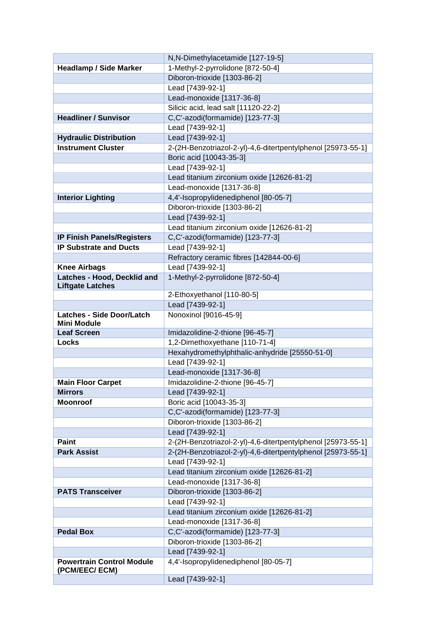|                                                        | N,N-Dimethylacetamide [127-19-5]                             |
|--------------------------------------------------------|--------------------------------------------------------------|
| <b>Headlamp / Side Marker</b>                          | 1-Methyl-2-pyrrolidone [872-50-4]                            |
|                                                        | Diboron-trioxide [1303-86-2]                                 |
|                                                        | Lead [7439-92-1]                                             |
|                                                        | Lead-monoxide [1317-36-8]                                    |
|                                                        | Silicic acid, lead salt [11120-22-2]                         |
| <b>Headliner / Sunvisor</b>                            | C,C'-azodi(formamide) [123-77-3]                             |
|                                                        | Lead [7439-92-1]                                             |
| <b>Hydraulic Distribution</b>                          | Lead [7439-92-1]                                             |
| <b>Instrument Cluster</b>                              | 2-(2H-Benzotriazol-2-yl)-4,6-ditertpentylphenol [25973-55-1] |
|                                                        | Boric acid [10043-35-3]                                      |
|                                                        | Lead [7439-92-1]                                             |
|                                                        | Lead titanium zirconium oxide [12626-81-2]                   |
|                                                        | Lead-monoxide [1317-36-8]                                    |
| <b>Interior Lighting</b>                               | 4,4'-Isopropylidenediphenol [80-05-7]                        |
|                                                        | Diboron-trioxide [1303-86-2]                                 |
|                                                        | Lead [7439-92-1]                                             |
|                                                        | Lead titanium zirconium oxide [12626-81-2]                   |
| <b>IP Finish Panels/Registers</b>                      | C,C'-azodi(formamide) [123-77-3]                             |
| <b>IP Substrate and Ducts</b>                          | Lead [7439-92-1]                                             |
|                                                        | Refractory ceramic fibres [142844-00-6]                      |
| <b>Knee Airbags</b>                                    | Lead [7439-92-1]                                             |
| Latches - Hood, Decklid and<br><b>Liftgate Latches</b> | 1-Methyl-2-pyrrolidone [872-50-4]                            |
|                                                        | 2-Ethoxyethanol [110-80-5]                                   |
|                                                        | Lead [7439-92-1]                                             |
| <b>Latches - Side Door/Latch</b>                       | Nonoxinol [9016-45-9]                                        |
| <b>Mini Module</b><br><b>Leaf Screen</b>               | Imidazolidine-2-thione [96-45-7]                             |
| Locks                                                  | 1,2-Dimethoxyethane [110-71-4]                               |
|                                                        | Hexahydromethylphthalic-anhydride [25550-51-0]               |
|                                                        | Lead [7439-92-1]                                             |
|                                                        | Lead-monoxide [1317-36-8]                                    |
| <b>Main Floor Carpet</b>                               | Imidazolidine-2-thione [96-45-7]                             |
| Mirrors                                                | Lead [7439-92-1]                                             |
| <b>Moonroof</b>                                        | Boric acid [10043-35-3]                                      |
|                                                        | C,C'-azodi(formamide) [123-77-3]                             |
|                                                        | Diboron-trioxide [1303-86-2]                                 |
|                                                        | Lead [7439-92-1]                                             |
| <b>Paint</b>                                           | 2-(2H-Benzotriazol-2-yl)-4,6-ditertpentylphenol [25973-55-1] |
| <b>Park Assist</b>                                     | 2-(2H-Benzotriazol-2-yl)-4,6-ditertpentylphenol [25973-55-1] |
|                                                        | Lead [7439-92-1]                                             |
|                                                        | Lead titanium zirconium oxide [12626-81-2]                   |
|                                                        | Lead-monoxide [1317-36-8]                                    |
| <b>PATS Transceiver</b>                                | Diboron-trioxide [1303-86-2]                                 |
|                                                        | Lead [7439-92-1]                                             |
|                                                        | Lead titanium zirconium oxide [12626-81-2]                   |
|                                                        | Lead-monoxide [1317-36-8]                                    |
| <b>Pedal Box</b>                                       | C,C'-azodi(formamide) [123-77-3]                             |
|                                                        | Diboron-trioxide [1303-86-2]                                 |
|                                                        | Lead [7439-92-1]                                             |
| <b>Powertrain Control Module</b><br>(PCM/EEC/ ECM)     | 4,4'-Isopropylidenediphenol [80-05-7]                        |
|                                                        | Lead [7439-92-1]                                             |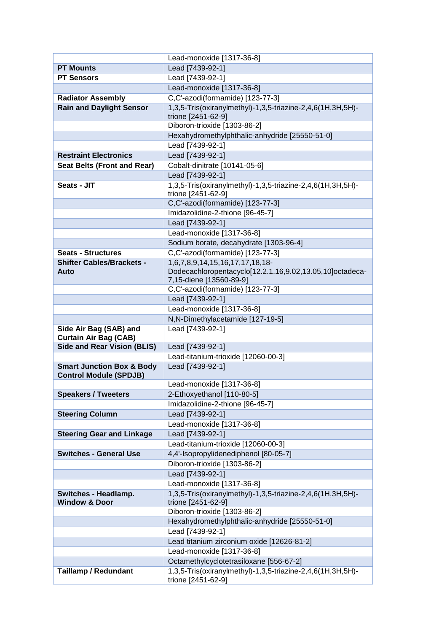|                                      | Lead-monoxide [1317-36-8]                                                        |
|--------------------------------------|----------------------------------------------------------------------------------|
| <b>PT Mounts</b>                     | Lead [7439-92-1]                                                                 |
| <b>PT Sensors</b>                    | Lead [7439-92-1]                                                                 |
|                                      | Lead-monoxide [1317-36-8]                                                        |
| <b>Radiator Assembly</b>             | C,C'-azodi(formamide) [123-77-3]                                                 |
| <b>Rain and Daylight Sensor</b>      | 1,3,5-Tris(oxiranylmethyl)-1,3,5-triazine-2,4,6(1H,3H,5H)-                       |
|                                      | trione [2451-62-9]                                                               |
|                                      | Diboron-trioxide [1303-86-2]                                                     |
|                                      | Hexahydromethylphthalic-anhydride [25550-51-0]                                   |
|                                      | Lead [7439-92-1]                                                                 |
| <b>Restraint Electronics</b>         | Lead [7439-92-1]                                                                 |
| <b>Seat Belts (Front and Rear)</b>   | Cobalt-dinitrate [10141-05-6]                                                    |
|                                      | Lead [7439-92-1]                                                                 |
| Seats - JIT                          | 1,3,5-Tris(oxiranylmethyl)-1,3,5-triazine-2,4,6(1H,3H,5H)-                       |
|                                      | trione [2451-62-9]                                                               |
|                                      | C,C'-azodi(formamide) [123-77-3]                                                 |
|                                      | Imidazolidine-2-thione [96-45-7]                                                 |
|                                      | Lead [7439-92-1]                                                                 |
|                                      | Lead-monoxide [1317-36-8]                                                        |
|                                      | Sodium borate, decahydrate [1303-96-4]                                           |
| <b>Seats - Structures</b>            | C,C'-azodi(formamide) [123-77-3]                                                 |
| <b>Shifter Cables/Brackets -</b>     | 1,6,7,8,9,14,15,16,17,17,18,18-                                                  |
| Auto                                 | Dodecachloropentacyclo[12.2.1.16,9.02,13.05,10]octadeca-                         |
|                                      | 7,15-diene [13560-89-9]<br>C,C'-azodi(formamide) [123-77-3]                      |
|                                      | Lead [7439-92-1]                                                                 |
|                                      | Lead-monoxide [1317-36-8]                                                        |
|                                      | N,N-Dimethylacetamide [127-19-5]                                                 |
| Side Air Bag (SAB) and               | Lead [7439-92-1]                                                                 |
| <b>Curtain Air Bag (CAB)</b>         |                                                                                  |
| <b>Side and Rear Vision (BLIS)</b>   | Lead [7439-92-1]                                                                 |
|                                      | Lead-titanium-trioxide [12060-00-3]                                              |
|                                      | Lead [7439-92-1]                                                                 |
| <b>Smart Junction Box &amp; Body</b> |                                                                                  |
| <b>Control Module (SPDJB)</b>        |                                                                                  |
|                                      | Lead-monoxide [1317-36-8]                                                        |
| <b>Speakers / Tweeters</b>           | 2-Ethoxyethanol [110-80-5]                                                       |
|                                      | Imidazolidine-2-thione [96-45-7]                                                 |
| <b>Steering Column</b>               | Lead [7439-92-1]                                                                 |
|                                      | Lead-monoxide [1317-36-8]                                                        |
| <b>Steering Gear and Linkage</b>     | Lead [7439-92-1]                                                                 |
|                                      | Lead-titanium-trioxide [12060-00-3]                                              |
| <b>Switches - General Use</b>        | 4,4'-Isopropylidenediphenol [80-05-7]                                            |
|                                      | Diboron-trioxide [1303-86-2]                                                     |
|                                      | Lead [7439-92-1]                                                                 |
|                                      | Lead-monoxide [1317-36-8]                                                        |
| Switches - Headlamp.                 | 1,3,5-Tris(oxiranylmethyl)-1,3,5-triazine-2,4,6(1H,3H,5H)-                       |
| <b>Window &amp; Door</b>             | trione [2451-62-9]                                                               |
|                                      | Diboron-trioxide [1303-86-2]                                                     |
|                                      | Hexahydromethylphthalic-anhydride [25550-51-0]                                   |
|                                      | Lead [7439-92-1]                                                                 |
|                                      | Lead titanium zirconium oxide [12626-81-2]                                       |
|                                      | Lead-monoxide [1317-36-8]                                                        |
|                                      | Octamethylcyclotetrasiloxane [556-67-2]                                          |
| <b>Taillamp / Redundant</b>          | 1,3,5-Tris(oxiranylmethyl)-1,3,5-triazine-2,4,6(1H,3H,5H)-<br>trione [2451-62-9] |